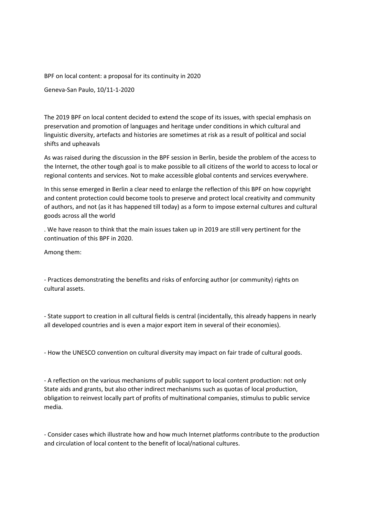BPF on local content: a proposal for its continuity in 2020

Geneva-San Paulo, 10/11-1-2020

The 2019 BPF on local content decided to extend the scope of its issues, with special emphasis on preservation and promotion of languages and heritage under conditions in which cultural and linguistic diversity, artefacts and histories are sometimes at risk as a result of political and social shifts and upheavals

As was raised during the discussion in the BPF session in Berlin, beside the problem of the access to the Internet, the other tough goal is to make possible to all citizens of the world to access to local or regional contents and services. Not to make accessible global contents and services everywhere.

In this sense emerged in Berlin a clear need to enlarge the reflection of this BPF on how copyright and content protection could become tools to preserve and protect local creativity and community of authors, and not (as it has happened till today) as a form to impose external cultures and cultural goods across all the world

. We have reason to think that the main issues taken up in 2019 are still very pertinent for the continuation of this BPF in 2020.

Among them:

- Practices demonstrating the benefits and risks of enforcing author (or community) rights on cultural assets.

- State support to creation in all cultural fields is central (incidentally, this already happens in nearly all developed countries and is even a major export item in several of their economies).

- How the UNESCO convention on cultural diversity may impact on fair trade of cultural goods.

- A reflection on the various mechanisms of public support to local content production: not only State aids and grants, but also other indirect mechanisms such as quotas of local production, obligation to reinvest locally part of profits of multinational companies, stimulus to public service media.

- Consider cases which illustrate how and how much Internet platforms contribute to the production and circulation of local content to the benefit of local/national cultures.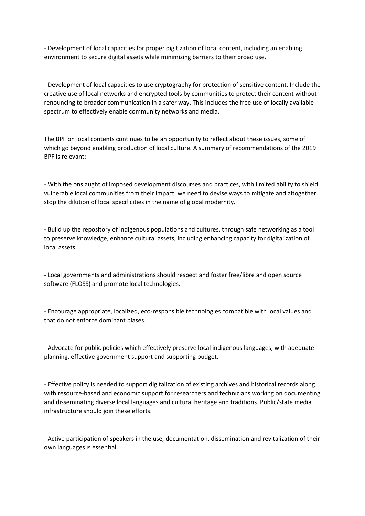- Development of local capacities for proper digitization of local content, including an enabling environment to secure digital assets while minimizing barriers to their broad use.

- Development of local capacities to use cryptography for protection of sensitive content. Include the creative use of local networks and encrypted tools by communities to protect their content without renouncing to broader communication in a safer way. This includes the free use of locally available spectrum to effectively enable community networks and media.

The BPF on local contents continues to be an opportunity to reflect about these issues, some of which go beyond enabling production of local culture. A summary of recommendations of the 2019 BPF is relevant:

- With the onslaught of imposed development discourses and practices, with limited ability to shield vulnerable local communities from their impact, we need to devise ways to mitigate and altogether stop the dilution of local specificities in the name of global modernity.

- Build up the repository of indigenous populations and cultures, through safe networking as a tool to preserve knowledge, enhance cultural assets, including enhancing capacity for digitalization of local assets.

- Local governments and administrations should respect and foster free/libre and open source software (FLOSS) and promote local technologies.

- Encourage appropriate, localized, eco-responsible technologies compatible with local values and that do not enforce dominant biases.

- Advocate for public policies which effectively preserve local indigenous languages, with adequate planning, effective government support and supporting budget.

- Effective policy is needed to support digitalization of existing archives and historical records along with resource-based and economic support for researchers and technicians working on documenting and disseminating diverse local languages and cultural heritage and traditions. Public/state media infrastructure should join these efforts.

- Active participation of speakers in the use, documentation, dissemination and revitalization of their own languages is essential.